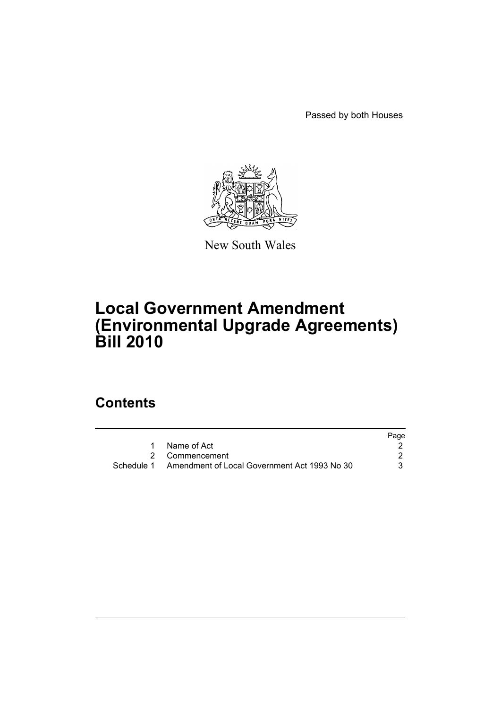Passed by both Houses



New South Wales

# **Local Government Amendment (Environmental Upgrade Agreements) Bill 2010**

## **Contents**

|                                                         | Page |
|---------------------------------------------------------|------|
| Name of Act                                             |      |
| 2 Commencement                                          |      |
| Schedule 1 Amendment of Local Government Act 1993 No 30 |      |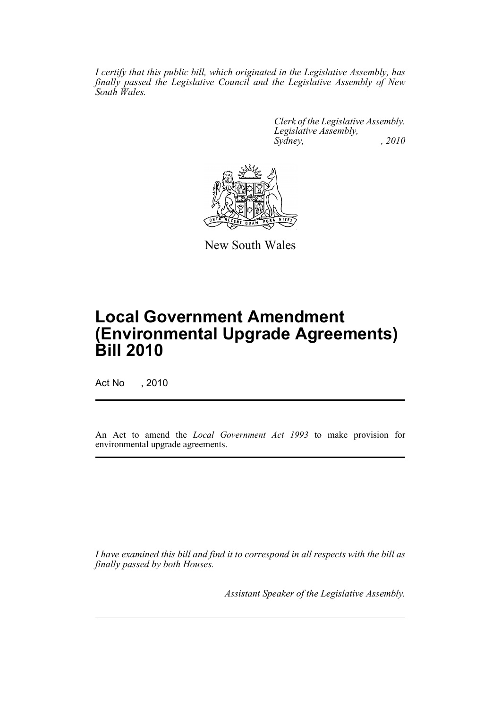*I certify that this public bill, which originated in the Legislative Assembly, has finally passed the Legislative Council and the Legislative Assembly of New South Wales.*

> *Clerk of the Legislative Assembly. Legislative Assembly, Sydney, , 2010*



New South Wales

# **Local Government Amendment (Environmental Upgrade Agreements) Bill 2010**

Act No , 2010

An Act to amend the *Local Government Act 1993* to make provision for environmental upgrade agreements.

*I have examined this bill and find it to correspond in all respects with the bill as finally passed by both Houses.*

*Assistant Speaker of the Legislative Assembly.*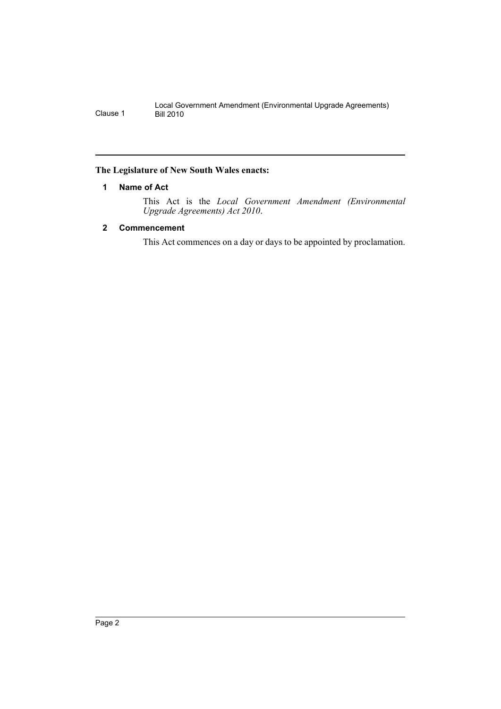#### <span id="page-2-0"></span>**The Legislature of New South Wales enacts:**

#### **1 Name of Act**

This Act is the *Local Government Amendment (Environmental Upgrade Agreements) Act 2010*.

#### <span id="page-2-1"></span>**2 Commencement**

This Act commences on a day or days to be appointed by proclamation.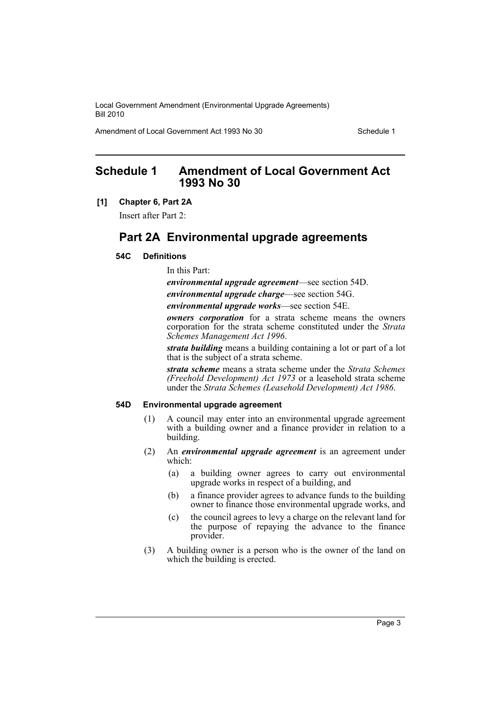Amendment of Local Government Act 1993 No 30 Schedule 1

### <span id="page-3-0"></span>**Schedule 1 Amendment of Local Government Act 1993 No 30**

#### **[1] Chapter 6, Part 2A**

Insert after Part 2:

## **Part 2A Environmental upgrade agreements**

#### **54C Definitions**

In this Part:

*environmental upgrade agreement*—see section 54D. *environmental upgrade charge*—see section 54G.

*environmental upgrade works*—see section 54E.

*owners corporation* for a strata scheme means the owners corporation for the strata scheme constituted under the *Strata Schemes Management Act 1996*.

*strata building* means a building containing a lot or part of a lot that is the subject of a strata scheme.

*strata scheme* means a strata scheme under the *Strata Schemes (Freehold Development) Act 1973* or a leasehold strata scheme under the *Strata Schemes (Leasehold Development) Act 1986*.

#### **54D Environmental upgrade agreement**

- (1) A council may enter into an environmental upgrade agreement with a building owner and a finance provider in relation to a building.
- (2) An *environmental upgrade agreement* is an agreement under which:
	- (a) a building owner agrees to carry out environmental upgrade works in respect of a building, and
	- (b) a finance provider agrees to advance funds to the building owner to finance those environmental upgrade works, and
	- (c) the council agrees to levy a charge on the relevant land for the purpose of repaying the advance to the finance provider.
- (3) A building owner is a person who is the owner of the land on which the building is erected.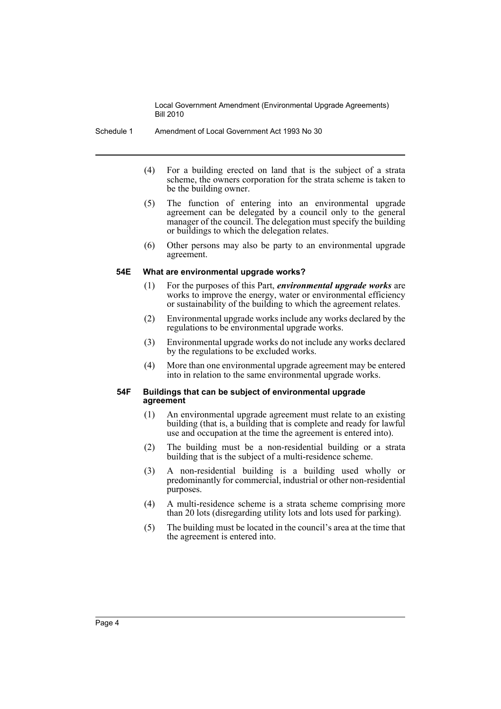Schedule 1 Amendment of Local Government Act 1993 No 30

- (4) For a building erected on land that is the subject of a strata scheme, the owners corporation for the strata scheme is taken to be the building owner.
- (5) The function of entering into an environmental upgrade agreement can be delegated by a council only to the general manager of the council. The delegation must specify the building or buildings to which the delegation relates.
- (6) Other persons may also be party to an environmental upgrade agreement.

#### **54E What are environmental upgrade works?**

- (1) For the purposes of this Part, *environmental upgrade works* are works to improve the energy, water or environmental efficiency or sustainability of the building to which the agreement relates.
- (2) Environmental upgrade works include any works declared by the regulations to be environmental upgrade works.
- (3) Environmental upgrade works do not include any works declared by the regulations to be excluded works.
- (4) More than one environmental upgrade agreement may be entered into in relation to the same environmental upgrade works.

#### **54F Buildings that can be subject of environmental upgrade agreement**

- (1) An environmental upgrade agreement must relate to an existing building (that is, a building that is complete and ready for lawful use and occupation at the time the agreement is entered into).
- (2) The building must be a non-residential building or a strata building that is the subject of a multi-residence scheme.
- (3) A non-residential building is a building used wholly or predominantly for commercial, industrial or other non-residential purposes.
- (4) A multi-residence scheme is a strata scheme comprising more than 20 lots (disregarding utility lots and lots used for parking).
- (5) The building must be located in the council's area at the time that the agreement is entered into.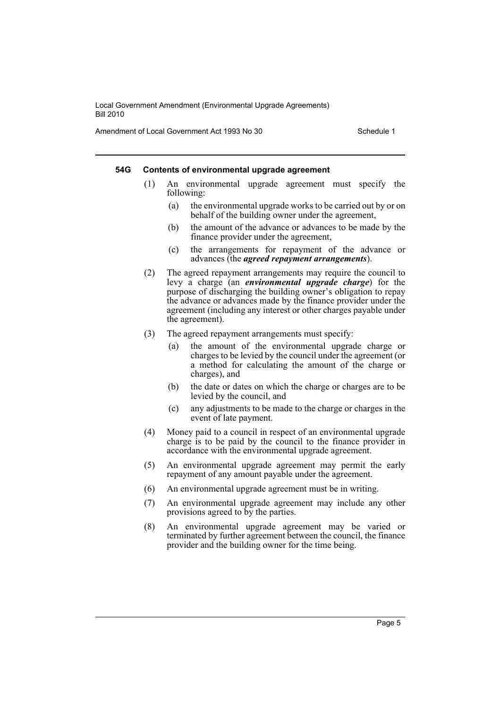Amendment of Local Government Act 1993 No 30 Schedule 1

#### **54G Contents of environmental upgrade agreement**

- (1) An environmental upgrade agreement must specify the following:
	- (a) the environmental upgrade works to be carried out by or on behalf of the building owner under the agreement,
	- (b) the amount of the advance or advances to be made by the finance provider under the agreement,
	- (c) the arrangements for repayment of the advance or advances (the *agreed repayment arrangements*).
- (2) The agreed repayment arrangements may require the council to levy a charge (an *environmental upgrade charge*) for the purpose of discharging the building owner's obligation to repay the advance or advances made by the finance provider under the agreement (including any interest or other charges payable under the agreement).
- (3) The agreed repayment arrangements must specify:
	- (a) the amount of the environmental upgrade charge or charges to be levied by the council under the agreement (or a method for calculating the amount of the charge or charges), and
	- (b) the date or dates on which the charge or charges are to be levied by the council, and
	- (c) any adjustments to be made to the charge or charges in the event of late payment.
- (4) Money paid to a council in respect of an environmental upgrade charge is to be paid by the council to the finance provider in accordance with the environmental upgrade agreement.
- (5) An environmental upgrade agreement may permit the early repayment of any amount payable under the agreement.
- (6) An environmental upgrade agreement must be in writing.
- (7) An environmental upgrade agreement may include any other provisions agreed to by the parties.
- (8) An environmental upgrade agreement may be varied or terminated by further agreement between the council, the finance provider and the building owner for the time being.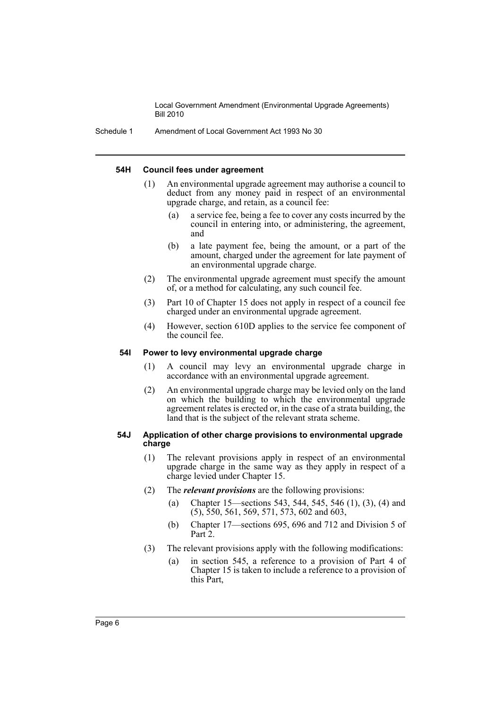Schedule 1 Amendment of Local Government Act 1993 No 30

#### **54H Council fees under agreement**

- (1) An environmental upgrade agreement may authorise a council to deduct from any money paid in respect of an environmental upgrade charge, and retain, as a council fee:
	- (a) a service fee, being a fee to cover any costs incurred by the council in entering into, or administering, the agreement, and
	- (b) a late payment fee, being the amount, or a part of the amount, charged under the agreement for late payment of an environmental upgrade charge.
- (2) The environmental upgrade agreement must specify the amount of, or a method for calculating, any such council fee.
- (3) Part 10 of Chapter 15 does not apply in respect of a council fee charged under an environmental upgrade agreement.
- (4) However, section 610D applies to the service fee component of the council fee.

#### **54I Power to levy environmental upgrade charge**

- (1) A council may levy an environmental upgrade charge in accordance with an environmental upgrade agreement.
- (2) An environmental upgrade charge may be levied only on the land on which the building to which the environmental upgrade agreement relates is erected or, in the case of a strata building, the land that is the subject of the relevant strata scheme.

#### **54J Application of other charge provisions to environmental upgrade charge**

- (1) The relevant provisions apply in respect of an environmental upgrade charge in the same way as they apply in respect of a charge levied under Chapter 15.
- (2) The *relevant provisions* are the following provisions:
	- (a) Chapter 15—sections 543, 544, 545, 546 (1), (3), (4) and (5), 550, 561, 569, 571, 573, 602 and 603,
	- (b) Chapter 17—sections 695, 696 and 712 and Division 5 of Part 2.
- (3) The relevant provisions apply with the following modifications:
	- (a) in section 545, a reference to a provision of Part 4 of Chapter 15 is taken to include a reference to a provision of this Part,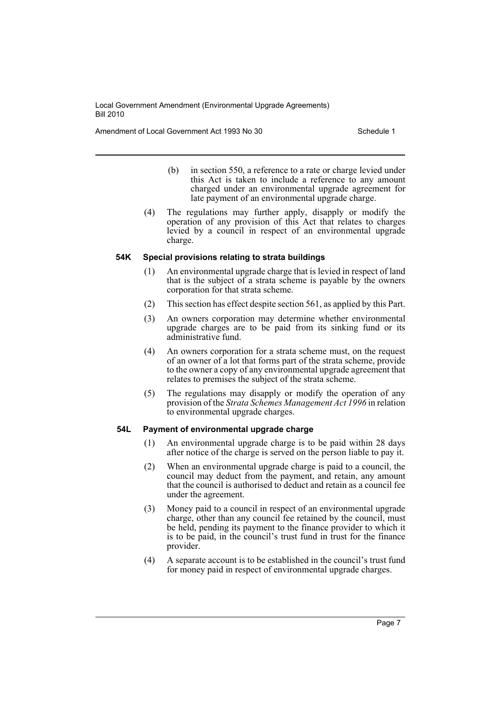Amendment of Local Government Act 1993 No 30 Schedule 1

- (b) in section 550, a reference to a rate or charge levied under this Act is taken to include a reference to any amount charged under an environmental upgrade agreement for late payment of an environmental upgrade charge.
- (4) The regulations may further apply, disapply or modify the operation of any provision of this Act that relates to charges levied by a council in respect of an environmental upgrade charge.

#### **54K Special provisions relating to strata buildings**

- (1) An environmental upgrade charge that is levied in respect of land that is the subject of a strata scheme is payable by the owners corporation for that strata scheme.
- (2) This section has effect despite section 561, as applied by this Part.
- (3) An owners corporation may determine whether environmental upgrade charges are to be paid from its sinking fund or its administrative fund.
- (4) An owners corporation for a strata scheme must, on the request of an owner of a lot that forms part of the strata scheme, provide to the owner a copy of any environmental upgrade agreement that relates to premises the subject of the strata scheme.
- (5) The regulations may disapply or modify the operation of any provision of the *Strata Schemes Management Act 1996* in relation to environmental upgrade charges.

#### **54L Payment of environmental upgrade charge**

- (1) An environmental upgrade charge is to be paid within 28 days after notice of the charge is served on the person liable to pay it.
- (2) When an environmental upgrade charge is paid to a council, the council may deduct from the payment, and retain, any amount that the council is authorised to deduct and retain as a council fee under the agreement.
- (3) Money paid to a council in respect of an environmental upgrade charge, other than any council fee retained by the council, must be held, pending its payment to the finance provider to which it is to be paid, in the council's trust fund in trust for the finance provider.
- (4) A separate account is to be established in the council's trust fund for money paid in respect of environmental upgrade charges.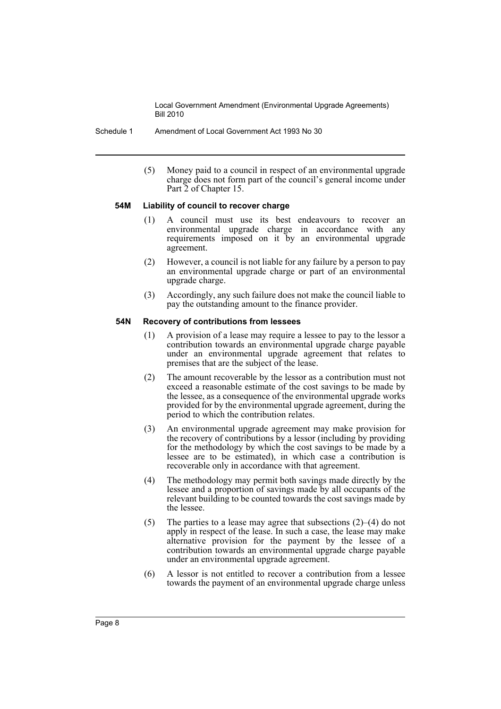Schedule 1 Amendment of Local Government Act 1993 No 30

(5) Money paid to a council in respect of an environmental upgrade charge does not form part of the council's general income under Part 2 of Chapter 15.

#### **54M Liability of council to recover charge**

- (1) A council must use its best endeavours to recover an environmental upgrade charge in accordance with any requirements imposed on it by an environmental upgrade agreement.
- (2) However, a council is not liable for any failure by a person to pay an environmental upgrade charge or part of an environmental upgrade charge.
- (3) Accordingly, any such failure does not make the council liable to pay the outstanding amount to the finance provider.

#### **54N Recovery of contributions from lessees**

- (1) A provision of a lease may require a lessee to pay to the lessor a contribution towards an environmental upgrade charge payable under an environmental upgrade agreement that relates to premises that are the subject of the lease.
- (2) The amount recoverable by the lessor as a contribution must not exceed a reasonable estimate of the cost savings to be made by the lessee, as a consequence of the environmental upgrade works provided for by the environmental upgrade agreement, during the period to which the contribution relates.
- (3) An environmental upgrade agreement may make provision for the recovery of contributions by a lessor (including by providing for the methodology by which the cost savings to be made by a lessee are to be estimated), in which case a contribution is recoverable only in accordance with that agreement.
- (4) The methodology may permit both savings made directly by the lessee and a proportion of savings made by all occupants of the relevant building to be counted towards the cost savings made by the lessee.
- (5) The parties to a lease may agree that subsections (2)–(4) do not apply in respect of the lease. In such a case, the lease may make alternative provision for the payment by the lessee of a contribution towards an environmental upgrade charge payable under an environmental upgrade agreement.
- (6) A lessor is not entitled to recover a contribution from a lessee towards the payment of an environmental upgrade charge unless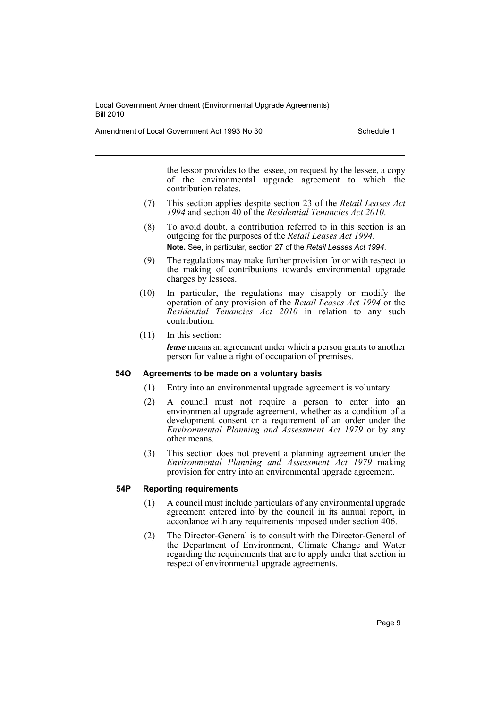Amendment of Local Government Act 1993 No 30 Schedule 1

the lessor provides to the lessee, on request by the lessee, a copy of the environmental upgrade agreement to which the contribution relates.

- (7) This section applies despite section 23 of the *Retail Leases Act 1994* and section 40 of the *Residential Tenancies Act 2010*.
- (8) To avoid doubt, a contribution referred to in this section is an outgoing for the purposes of the *Retail Leases Act 1994*. **Note.** See, in particular, section 27 of the *Retail Leases Act 1994*.
- (9) The regulations may make further provision for or with respect to the making of contributions towards environmental upgrade charges by lessees.
- (10) In particular, the regulations may disapply or modify the operation of any provision of the *Retail Leases Act 1994* or the *Residential Tenancies Act 2010* in relation to any such contribution.
- (11) In this section:

*lease* means an agreement under which a person grants to another person for value a right of occupation of premises.

#### **54O Agreements to be made on a voluntary basis**

- (1) Entry into an environmental upgrade agreement is voluntary.
- (2) A council must not require a person to enter into an environmental upgrade agreement, whether as a condition of a development consent or a requirement of an order under the *Environmental Planning and Assessment Act 1979* or by any other means.
- (3) This section does not prevent a planning agreement under the *Environmental Planning and Assessment Act 1979* making provision for entry into an environmental upgrade agreement.

#### **54P Reporting requirements**

- (1) A council must include particulars of any environmental upgrade agreement entered into by the council in its annual report, in accordance with any requirements imposed under section 406.
- (2) The Director-General is to consult with the Director-General of the Department of Environment, Climate Change and Water regarding the requirements that are to apply under that section in respect of environmental upgrade agreements.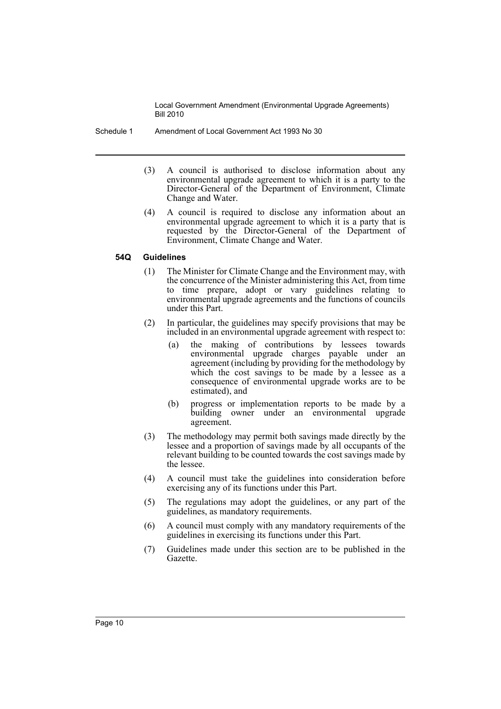- Schedule 1 Amendment of Local Government Act 1993 No 30
	- (3) A council is authorised to disclose information about any environmental upgrade agreement to which it is a party to the Director-General of the Department of Environment, Climate Change and Water.
	- (4) A council is required to disclose any information about an environmental upgrade agreement to which it is a party that is requested by the Director-General of the Department of Environment, Climate Change and Water.

#### **54Q Guidelines**

- (1) The Minister for Climate Change and the Environment may, with the concurrence of the Minister administering this Act, from time to time prepare, adopt or vary guidelines relating to environmental upgrade agreements and the functions of councils under this Part.
- (2) In particular, the guidelines may specify provisions that may be included in an environmental upgrade agreement with respect to:
	- (a) the making of contributions by lessees towards environmental upgrade charges payable under an agreement (including by providing for the methodology by which the cost savings to be made by a lessee as a consequence of environmental upgrade works are to be estimated), and
	- (b) progress or implementation reports to be made by a building owner under an environmental upgrade agreement.
- (3) The methodology may permit both savings made directly by the lessee and a proportion of savings made by all occupants of the relevant building to be counted towards the cost savings made by the lessee.
- (4) A council must take the guidelines into consideration before exercising any of its functions under this Part.
- (5) The regulations may adopt the guidelines, or any part of the guidelines, as mandatory requirements.
- (6) A council must comply with any mandatory requirements of the guidelines in exercising its functions under this Part.
- (7) Guidelines made under this section are to be published in the Gazette.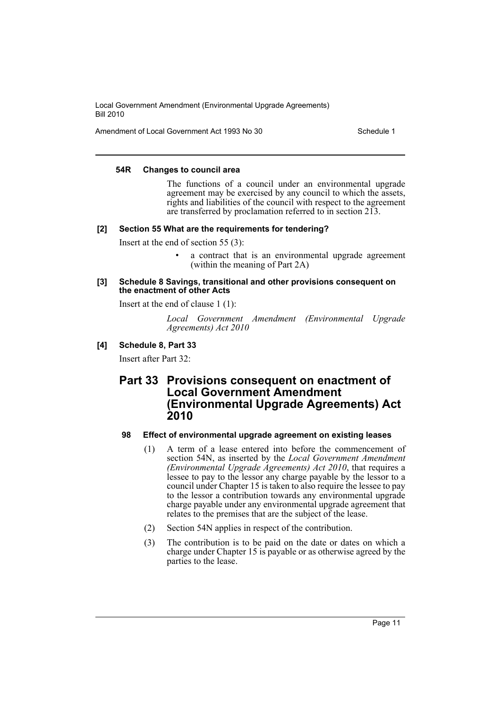Amendment of Local Government Act 1993 No 30 Schedule 1

#### **54R Changes to council area**

The functions of a council under an environmental upgrade agreement may be exercised by any council to which the assets, rights and liabilities of the council with respect to the agreement are transferred by proclamation referred to in section 213.

#### **[2] Section 55 What are the requirements for tendering?**

Insert at the end of section 55 (3):

a contract that is an environmental upgrade agreement (within the meaning of Part 2A)

#### **[3] Schedule 8 Savings, transitional and other provisions consequent on the enactment of other Acts**

Insert at the end of clause 1 (1):

*Local Government Amendment (Environmental Upgrade Agreements) Act 2010*

#### **[4] Schedule 8, Part 33**

Insert after Part 32:

### **Part 33 Provisions consequent on enactment of Local Government Amendment (Environmental Upgrade Agreements) Act 2010**

#### **98 Effect of environmental upgrade agreement on existing leases**

- (1) A term of a lease entered into before the commencement of section 54N, as inserted by the *Local Government Amendment (Environmental Upgrade Agreements) Act 2010*, that requires a lessee to pay to the lessor any charge payable by the lessor to a council under Chapter 15 is taken to also require the lessee to pay to the lessor a contribution towards any environmental upgrade charge payable under any environmental upgrade agreement that relates to the premises that are the subject of the lease.
- (2) Section 54N applies in respect of the contribution.
- (3) The contribution is to be paid on the date or dates on which a charge under Chapter 15 is payable or as otherwise agreed by the parties to the lease.